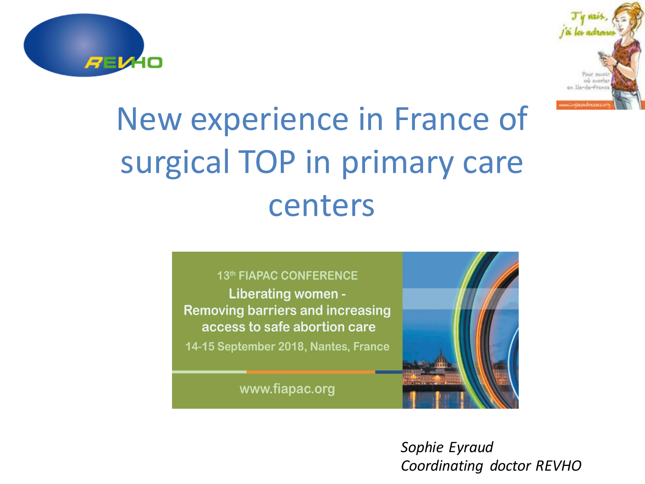



## New experience in France of surgical TOP in primary care centers

#### 13th FIAPAC CONFERENCE

**Liberating women -Removing barriers and increasing** access to safe abortion care

14-15 September 2018, Nantes, France

www.fiapac.org



*Sophie Eyraud Coordinating doctor REVHO*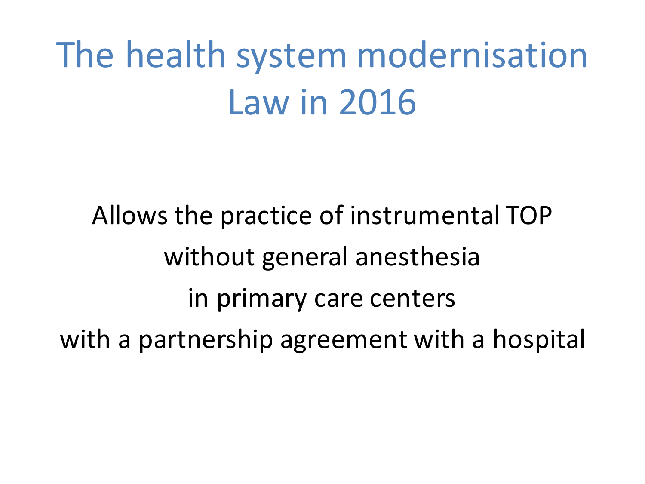The health system modernisation Law in 2016

Allows the practice of instrumental TOP without general anesthesia in primary care centers with a partnership agreement with a hospital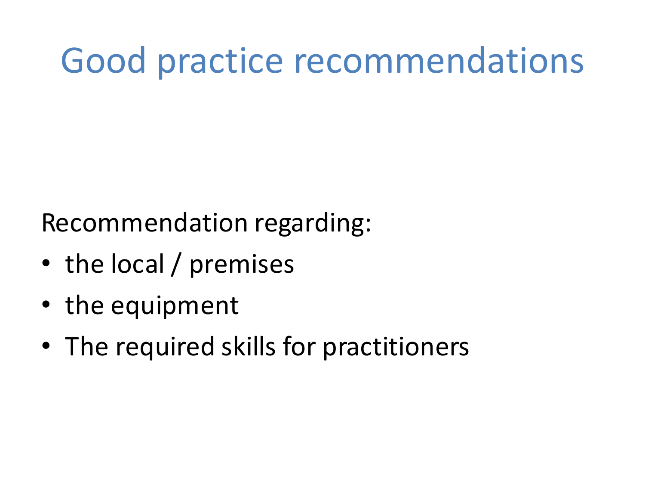### Good practice recommendations

Recommendation regarding:

- the local / premises
- the equipment
- The required skills for practitioners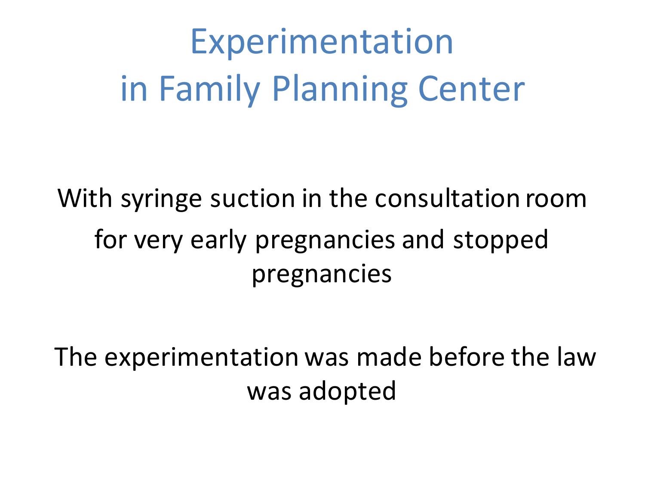Experimentation in Family Planning Center

With syringe suction in the consultation room for very early pregnancies and stopped pregnancies

The experimentation was made before the law was adopted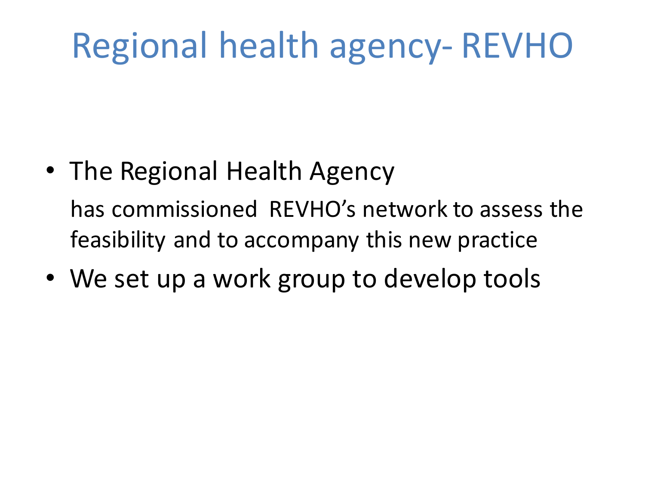# Regional health agency- REVHO

- The Regional Health Agency has commissioned REVHO's network to assess the feasibility and to accompany this new practice
- We set up a work group to develop tools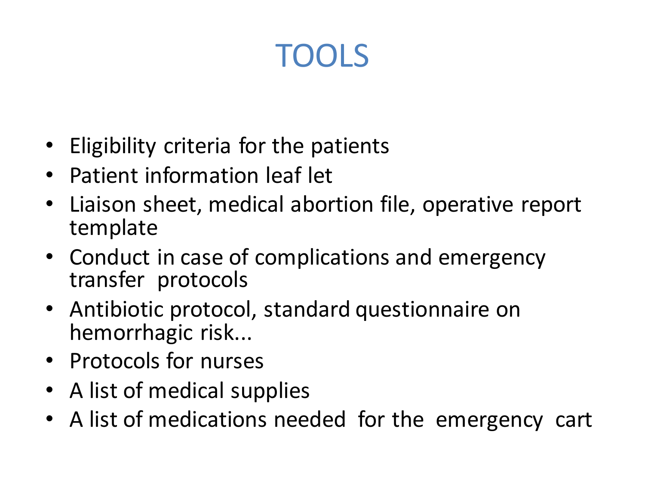### TOOLS

- Eligibility criteria for the patients
- Patient information leaf let
- Liaison sheet, medical abortion file, operative report template
- Conduct in case of complications and emergency transfer protocols
- Antibiotic protocol, standard questionnaire on hemorrhagic risk...
- Protocols for nurses
- A list of medical supplies
- A list of medications needed for the emergency cart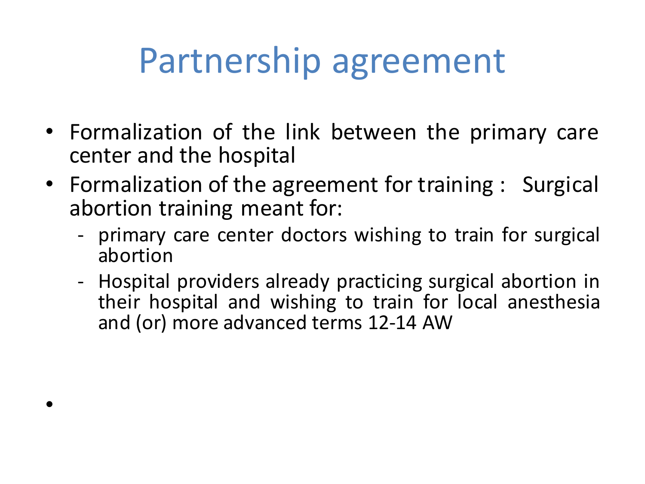### Partnership agreement

- Formalization of the link between the primary care center and the hospital
- Formalization of the agreement for training : Surgical abortion training meant for:
	- primary care center doctors wishing to train for surgical abortion
	- Hospital providers already practicing surgical abortion in their hospital and wishing to train for local anesthesia and (or) more advanced terms 12-14 AW

•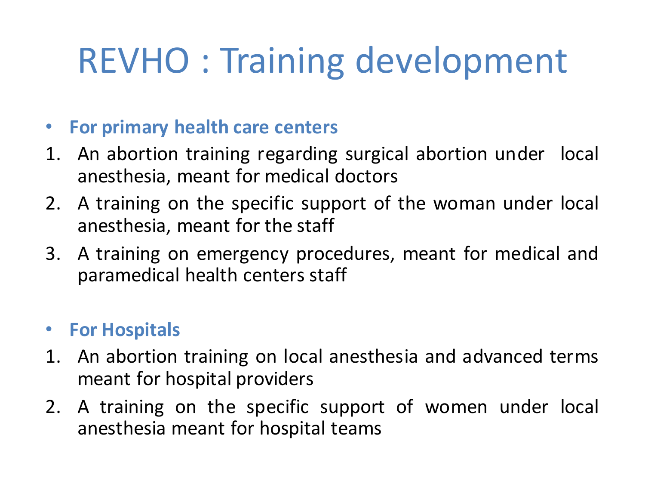# REVHO: Training development

#### • **For primary health care centers**

- 1. An abortion training regarding surgical abortion under local anesthesia, meant for medical doctors
- 2. A training on the specific support of the woman under local anesthesia, meant for the staff
- 3. A training on emergency procedures, meant for medical and paramedical health centers staff

### • **For Hospitals**

- 1. An abortion training on local anesthesia and advanced terms meant for hospital providers
- 2. A training on the specific support of women under local anesthesia meant for hospital teams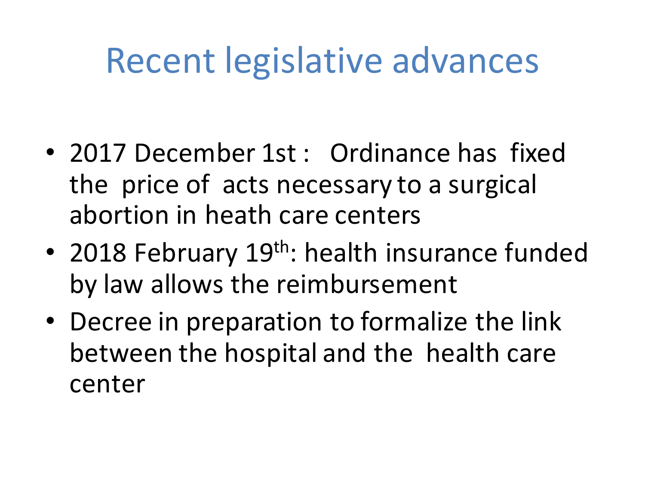# Recent legislative advances

- 2017 December 1st : Ordinance has fixed the price of acts necessary to a surgical abortion in heath care centers
- 2018 February 19<sup>th</sup>: health insurance funded by law allows the reimbursement
- Decree in preparation to formalize the link between the hospital and the health care center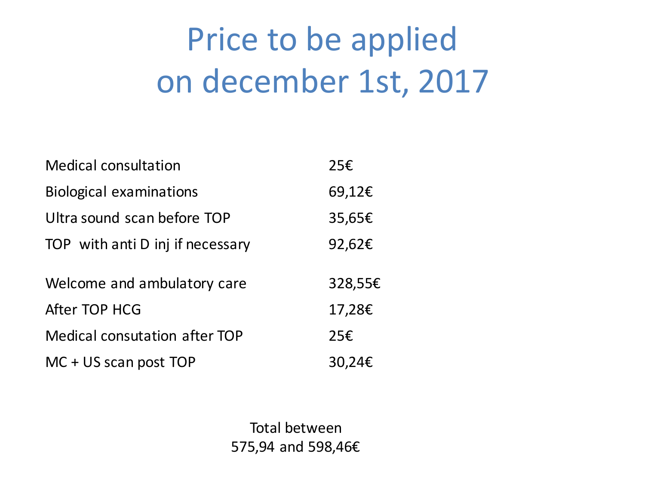### Price to be applied on december 1st, 2017

| <b>Medical consultation</b>          | 25E     |
|--------------------------------------|---------|
| <b>Biological examinations</b>       | 69,12€  |
| Ultra sound scan before TOP          | 35,65€  |
| TOP with anti D inj if necessary     | 92,62€  |
| Welcome and ambulatory care          | 328,55€ |
| After TOP HCG                        | 17,28€  |
| <b>Medical consutation after TOP</b> | 25€     |
| $MC + US$ scan post TOP              | 30,24€  |

Total between 575,94 and 598,46€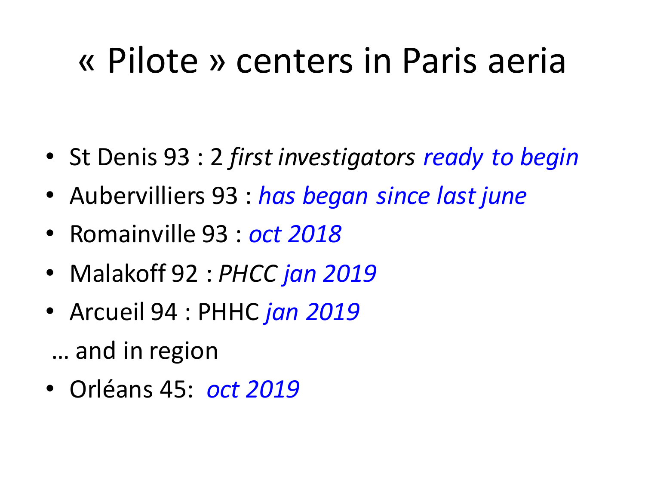### « Pilote » centers in Paris aeria

- St Denis 93 : 2 *first investigators ready to begin*
- Aubervilliers 93 : *has began since last june*
- Romainville 93 : *oct* 2018
- Malakoff 92 : *PHCC jan 2019*
- Arcueil 94 : PHHC *jan 2019* ... and in region
- Orléans 45: *oct* 2019